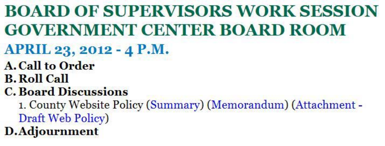# BOARD OF SUPERVISORS WORK SESSION GOVERNMENT CENTER BOARD ROOM

- $APRIL$  23, 2012 4 P.M.
- A. Call to Order
- B.Roll Call
- C. Board Discussions
- 1. County Website Policy (Summary) (Memorandum) (Attachment Draft Web Policy) D.Adjournment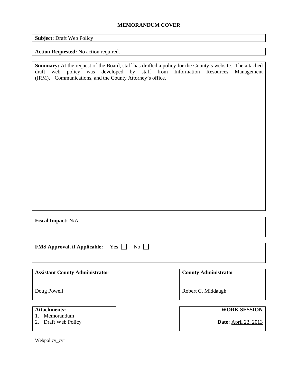# **MEMORANDUM COVER**

**Subject:** Draft Web Policy

### **Action Requested:** No action required.

**Summary:** At the request of the Board, staff has drafted a policy for the County's website. The attached draft web policy was developed by staff from Information Resources Management (IRM), Communications, and the County Attorney's office.

**Fiscal Impact:** N/A

**FMS Approval, if Applicable:** Yes  $\Box$  No  $\Box$ 

**Assistant County Administrator** 

Doug Powell \_\_\_\_\_\_\_

# **Attachments:**

- 1. Memorandum
- 2. Draft Web Policy

Webpolicy\_cvr

**County Administrator** 

Robert C. Middaugh \_\_\_\_\_\_\_

# **WORK SESSION**

**Date:** April 23, 2013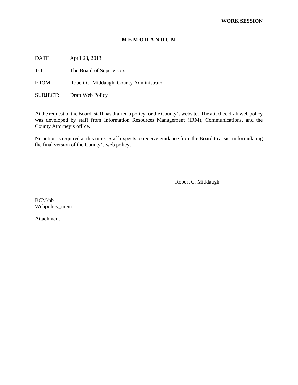### **M E M O R A N D U M**

DATE: April 23, 2013

TO: The Board of Supervisors

FROM: Robert C. Middaugh, County Administrator

SUBJECT: Draft Web Policy

At the request of the Board, staff has drafted a policy for the County's website. The attached draft web policy was developed by staff from Information Resources Management (IRM), Communications, and the County Attorney's office.

No action is required at this time. Staff expects to receive guidance from the Board to assist in formulating the final version of the County's web policy.

Robert C. Middaugh

RCM/nb Webpolicy\_mem

Attachment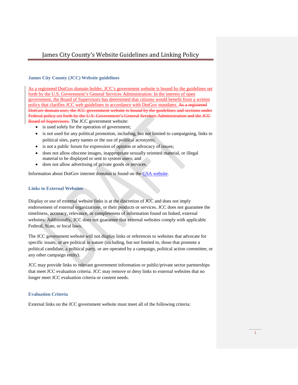# James City County's Website Guidelines and Linking Policy

#### **James City County (JCC) Website guidelines**

As a registered DotGov domain holder, JCC's government website is bound by the guidelines set forth by the U.S. Government's General Services Administration. In the interest of open government, the Board of Supervisors has determined that citizens would benefit from a written policy that clarifies JCC web guidelines in accordance with DotGov mandates. As a registered DotGov domain user, the JCC government website is bound by the guidelines and sections under Federal policy set forth by the U.S. Government's General Services Administration and the JCC Board of Supervisors. The JCC government website:

- is used solely for the operation of government;
- is not used for any political promotion, including, but not limited to campaigning, links to political sites, party names or the use of political acronyms;
- is not a public forum for expression of opinion or advocacy of issues;
- does not allow obscene images, inappropriate sexually oriented material, or illegal material to be displayed or sent to system users; and
- does not allow advertising of private goods or services.

Information about DotGov internet domains is found on the [GSA website.](https://www.dotgov.gov/portal/web/dotgov/policy)

#### **Links to External Websites**

Display or use of external website links is at the discretion of JCC and does not imply endorsement of external organizations, or their products or services. JCC does not guarantee the timeliness, accuracy, relevance, or completeness of information found on linked, external websites. Additionally, JCC does not guarantee that external websites comply with applicable Federal, State, or local laws.

The JCC government website will not display links or references to websites that advocate for specific issues, or are political in nature (including, but not limited to, those that promote a political candidate, a political party, or are operated by a campaign, political action committee, or any other campaign entity).

JCC may provide links to relevant government information or public/private sector partnerships that meet JCC evaluation criteria. JCC may remove or deny links to external websites that no longer meet JCC evaluation criteria or content needs.

#### **Evaluation Criteria**

External links on the JCC government website must meet all of the following criteria: